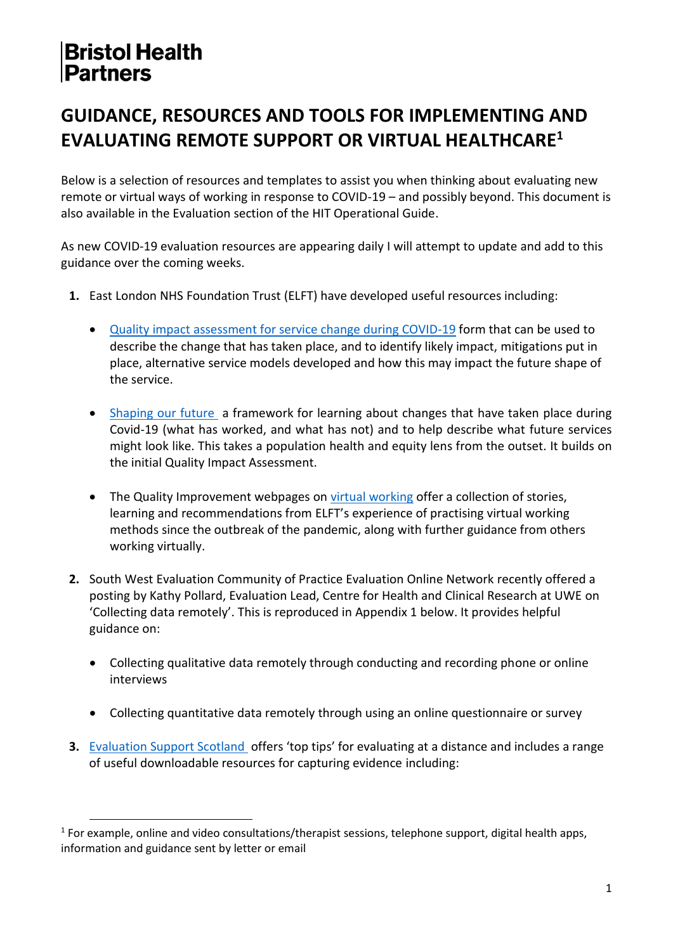#### **GUIDANCE, RESOURCES AND TOOLS FOR IMPLEMENTING AND EVALUATING REMOTE SUPPORT OR VIRTUAL HEALTHCARE<sup>1</sup>**

Below is a selection of resources and templates to assist you when thinking about evaluating new remote or virtual ways of working in response to COVID-19 – and possibly beyond. This document is also available in the Evaluation section of the HIT Operational Guide.

As new COVID-19 evaluation resources are appearing daily I will attempt to update and add to this guidance over the coming weeks.

- **1.** East London NHS Foundation Trust (ELFT) have developed useful resources including:
	- [Quality impact assessment for service change during COVID-19](https://qi.elft.nhs.uk/resource/quality-impact-assessment-c19/) form that can be used to describe the change that has taken place, and to identify likely impact, mitigations put in place, alternative service models developed and how this may impact the future shape of the service.
	- [Shaping our future](https://qi.elft.nhs.uk/resource/shaping-our-future-2/) a framework for learning about changes that have taken place during Covid-19 (what has worked, and what has not) and to help describe what future services might look like. This takes a population health and equity lens from the outset. It builds on the initial Quality Impact Assessment.
	- The Quality Improvement webpages on [virtual working](https://qi.elft.nhs.uk/collection/virtual-working/) offer a collection of stories, learning and recommendations from ELFT's experience of practising virtual working methods since the outbreak of the pandemic, along with further guidance from others working virtually.
- **2.** South West Evaluation Community of Practice Evaluation Online Network recently offered a posting by Kathy Pollard, Evaluation Lead, Centre for Health and Clinical Research at UWE on 'Collecting data remotely'. This is reproduced in Appendix 1 below. It provides helpful guidance on:
	- Collecting qualitative data remotely through conducting and recording phone or online interviews
	- Collecting quantitative data remotely through using an online questionnaire or survey
- **3.** [Evaluation Support Scotland](http://www.evaluationsupportscotland.org.uk/covid-19/) offers 'top tips' for evaluating at a distance and includes a range of useful downloadable resources for capturing evidence including:

<sup>&</sup>lt;sup>1</sup> For example, online and video consultations/therapist sessions, telephone support, digital health apps, information and guidance sent by letter or email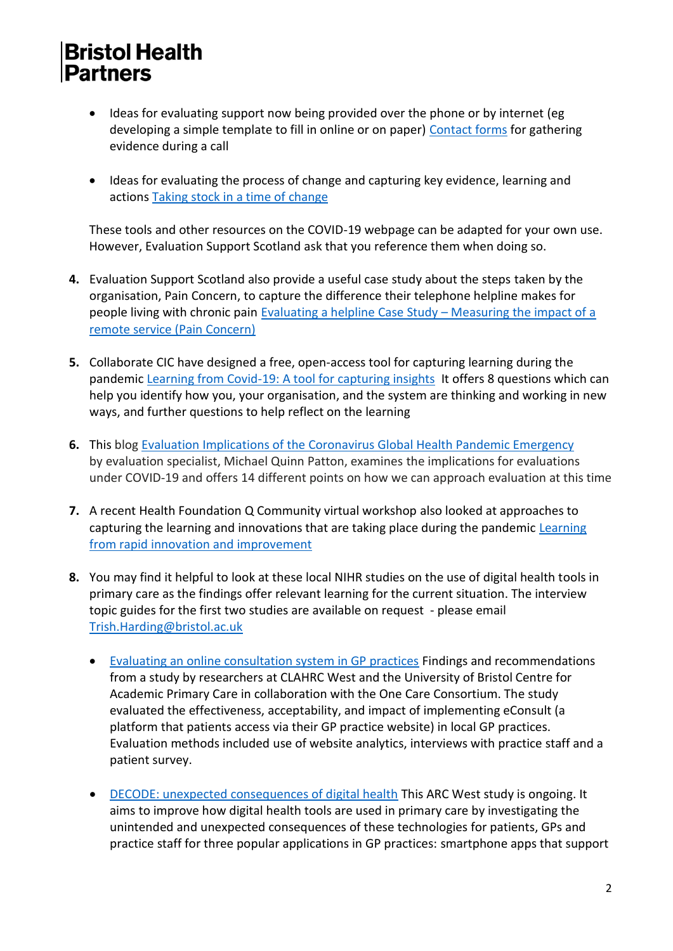- Ideas for evaluating support now being provided over the phone or by internet (eg developing a simple template to fill in online or on paper) [Contact forms](http://evaluationsupportscotland.org.uk/resources/524/) for gathering evidence during a call
- Ideas for evaluating the process of change and capturing key evidence, learning and actions [Taking stock in a time of change](http://evaluationsupportscotland.org.uk/resources/527/)

These tools and other resources on the COVID-19 webpage can be adapted for your own use. However, Evaluation Support Scotland ask that you reference them when doing so.

- **4.** Evaluation Support Scotland also provide a useful case study about the steps taken by the organisation, Pain Concern, to capture the difference their telephone helpline makes for people living with chronic pain [Evaluating a helpline Case Study](http://evaluationsupportscotland.org.uk/resources/525/) – Measuring the impact of a [remote service \(Pain Concern\)](http://evaluationsupportscotland.org.uk/resources/525/)
- **5.** Collaborate CIC have designed a free, open-access tool for capturing learning during the pandemic [Learning from Covid-19: A tool for capturing insights](http://wordpress.collaboratei.com/wp-content/uploads/Collaborate-CIC.-Learning-Framework-April-2020.pdf) It offers 8 questions which can help you identify how you, your organisation, and the system are thinking and working in new ways, and further questions to help reflect on the learning
- **6.** This blog [Evaluation Implications of the Coronavirus Global Health Pandemic Emergency](https://bluemarbleeval.org/latest/evaluation-implications-coronavirus-global-health-pandemic-emergency) by evaluation specialist, Michael Quinn Patton, examines the implications for evaluations under COVID-19 and offers 14 different points on how we can approach evaluation at this time
- **7.** A recent Health Foundation Q Community virtual workshop also looked at approaches to capturing the learning and innovations that are taking place during the pandemic [Learning](https://s20056.pcdn.co/wp-content/uploads/2018/12/Rapid-learning-and-improvement-workshop-1-slides.pdf)  [from rapid innovation and improvement](https://s20056.pcdn.co/wp-content/uploads/2018/12/Rapid-learning-and-improvement-workshop-1-slides.pdf)
- **8.** You may find it helpful to look at these local NIHR studies on the use of digital health tools in primary care as the findings offer relevant learning for the current situation. The interview topic guides for the first two studies are available on request - please email [Trish.Harding@bristol.ac.uk](mailto:Trish.Harding@bristol.ac.uk)
	- [Evaluating an online consultation system in GP practices](https://arc-w.nihr.ac.uk/news/nhs-10-year-plan-researchers-warn-online-gp-consultations-need-careful-implementation-and-rigorous-evaluation-before-widespread-adoption/) Findings and recommendations from a study by researchers at CLAHRC West and the University of Bristol Centre for Academic Primary Care in collaboration with the One Care Consortium. The study evaluated the effectiveness, acceptability, and impact of implementing eConsult (a platform that patients access via their GP practice website) in local GP practices. Evaluation methods included use of website analytics, interviews with practice staff and a patient survey.
	- [DECODE: unexpected consequences of digital health](https://arc-w.nihr.ac.uk/news/unintended-consequences-of-digital-health-tools-in-primary-care-unpicked-at-decode-workshop/) This ARC West study is ongoing. It aims to improve how digital health tools are used in primary care by investigating the unintended and unexpected consequences of these technologies for patients, GPs and practice staff for three popular applications in GP practices: smartphone apps that support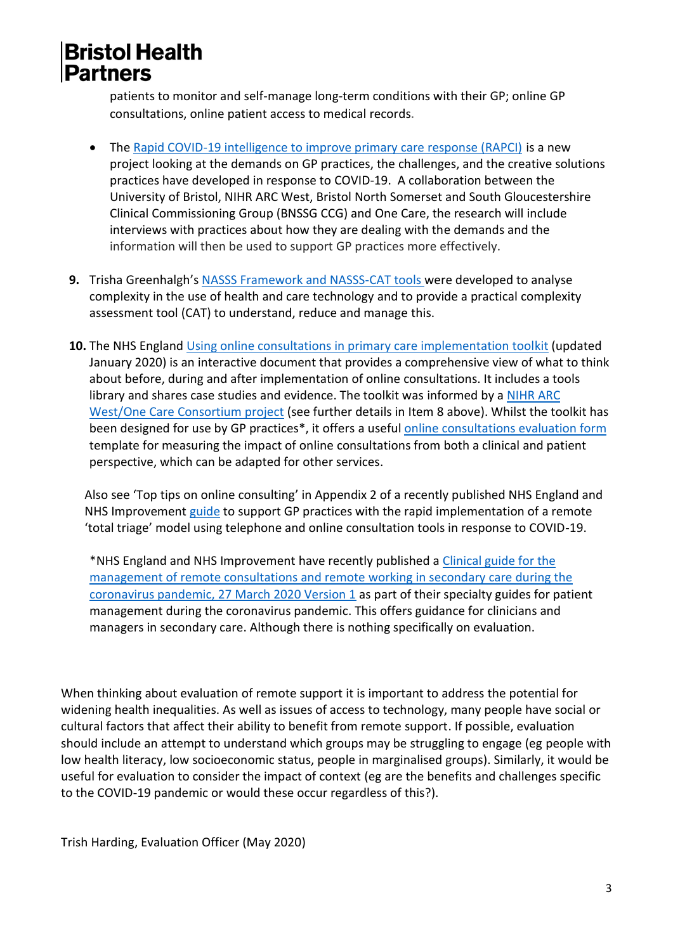patients to monitor and self-manage long-term conditions with their GP; online GP consultations, online patient access to medical records.

- The [Rapid COVID-19 intelligence to improve primary care response \(RAPCI\)](https://arc-w.nihr.ac.uk/research/projects/collecting-rapid-covid-19-intelligence-to-improve-primary-care-response/) is a new project looking at the demands on GP practices, the challenges, and the creative solutions practices have developed in response to COVID-19. A collaboration between the University of Bristol, NIHR ARC West, Bristol North Somerset and South Gloucestershire Clinical Commissioning Group (BNSSG CCG) and One Care, the research will include interviews with practices about how they are dealing with the demands and the information will then be used to support GP practices more effectively.
- **9.** Trisha Greenhalgh's [NASSS Framework and NASSS-CAT tools w](https://wessexahsn.org.uk/img/projects/Greenhalgh%20NASSS%20Background%20paper.pdf)ere developed to analyse complexity in the use of health and care technology and to provide a practical complexity assessment tool (CAT) to understand, reduce and manage this.
- **10.** The NHS England [Using online consultations in primary care implementation toolkit](https://www.england.nhs.uk/publication/using-online-consultations-in-primary-care-implementation-toolkit/) (updated January 2020) is an interactive document that provides a comprehensive view of what to think about before, during and after implementation of online consultations. It includes a tools library and shares case studies and evidence. The toolkit was informed by a [NIHR ARC](https://arc-w.nihr.ac.uk/news/arc-west-research-informs-nhs-england-toolkit-for-implementing-online-gp-consultations/)  [West/One Care Consortium project](https://arc-w.nihr.ac.uk/news/arc-west-research-informs-nhs-england-toolkit-for-implementing-online-gp-consultations/) (see further details in Item 8 above). Whilst the toolkit has been designed for use by GP practices\*, it offers a usefu[l online consultations evaluation form](https://www.england.nhs.uk/wp-content/uploads/2019/10/online-consultations-evaluation-form-2.docx) template for measuring the impact of online consultations from both a clinical and patient perspective, which can be adapted for other services.

Also see 'Top tips on online consulting' in Appendix 2 of a recently published NHS England and NHS Improvemen[t guide](https://www.england.nhs.uk/coronavirus/wp-content/uploads/sites/52/2020/03/C0098-Total-triage-blueprint-April-2020-v2.pdf) to support GP practices with the rapid implementation of a remote 'total triage' model using telephone and online consultation tools in response to COVID-19.

\*NHS England and NHS Improvement have recently published a [Clinical guide for the](https://www.england.nhs.uk/coronavirus/wp-content/uploads/sites/52/2020/03/C0044-Specialty-Guide-Virtual-Working-and-Coronavirus-27-March-20.pdf)  [management of remote consultations and remote working in secondary care during the](https://www.england.nhs.uk/coronavirus/wp-content/uploads/sites/52/2020/03/C0044-Specialty-Guide-Virtual-Working-and-Coronavirus-27-March-20.pdf)  [coronavirus pandemic, 27 March 2020 Version 1](https://www.england.nhs.uk/coronavirus/wp-content/uploads/sites/52/2020/03/C0044-Specialty-Guide-Virtual-Working-and-Coronavirus-27-March-20.pdf) as part of their specialty guides for patient [management during the coronavirus pandemic. This offers guidance for clinicians and](https://www.england.nhs.uk/coronavirus/wp-content/uploads/sites/52/2020/03/C0044-Specialty-Guide-Virtual-Working-and-Coronavirus-27-March-20.pdf)  [managers in secondary care. Although there is nothing specifically on evaluation.](https://www.england.nhs.uk/coronavirus/wp-content/uploads/sites/52/2020/03/C0044-Specialty-Guide-Virtual-Working-and-Coronavirus-27-March-20.pdf) 

When thinking about evaluation of remote support it is important to address the potential for widening health inequalities. As well as issues of access to technology, many people have social or cultural factors that affect their ability to benefit from remote support. If possible, evaluation should include an attempt to understand which groups may be struggling to engage (eg people with low health literacy, low socioeconomic status, people in marginalised groups). Similarly, it would be useful for evaluation to consider the impact of context (eg are the benefits and challenges specific to the COVID-19 pandemic or would these occur regardless of this?).

Trish Harding, Evaluation Officer (May 2020)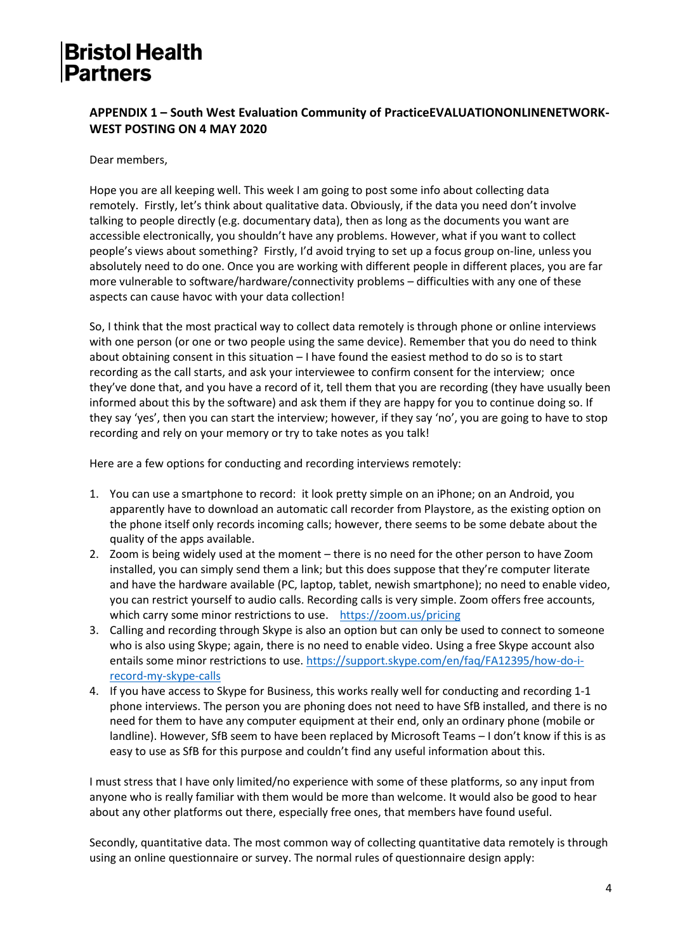#### **APPENDIX 1 – South West Evaluation Community of PracticeEVALUATIONONLINENETWORK-WEST POSTING ON 4 MAY 2020**

Dear members,

Hope you are all keeping well. This week I am going to post some info about collecting data remotely. Firstly, let's think about qualitative data. Obviously, if the data you need don't involve talking to people directly (e.g. documentary data), then as long as the documents you want are accessible electronically, you shouldn't have any problems. However, what if you want to collect people's views about something? Firstly, I'd avoid trying to set up a focus group on-line, unless you absolutely need to do one. Once you are working with different people in different places, you are far more vulnerable to software/hardware/connectivity problems – difficulties with any one of these aspects can cause havoc with your data collection!

So, I think that the most practical way to collect data remotely is through phone or online interviews with one person (or one or two people using the same device). Remember that you do need to think about obtaining consent in this situation – I have found the easiest method to do so is to start recording as the call starts, and ask your interviewee to confirm consent for the interview; once they've done that, and you have a record of it, tell them that you are recording (they have usually been informed about this by the software) and ask them if they are happy for you to continue doing so. If they say 'yes', then you can start the interview; however, if they say 'no', you are going to have to stop recording and rely on your memory or try to take notes as you talk!

Here are a few options for conducting and recording interviews remotely:

- 1. You can use a smartphone to record: it look pretty simple on an iPhone; on an Android, you apparently have to download an automatic call recorder from Playstore, as the existing option on the phone itself only records incoming calls; however, there seems to be some debate about the quality of the apps available.
- 2. Zoom is being widely used at the moment there is no need for the other person to have Zoom installed, you can simply send them a link; but this does suppose that they're computer literate and have the hardware available (PC, laptop, tablet, newish smartphone); no need to enable video, you can restrict yourself to audio calls. Recording calls is very simple. Zoom offers free accounts, which carry some minor restrictions to use. <https://zoom.us/pricing>
- 3. Calling and recording through Skype is also an option but can only be used to connect to someone who is also using Skype; again, there is no need to enable video. Using a free Skype account also entails some minor restrictions to use. [https://support.skype.com/en/faq/FA12395/how-do-i](https://support.skype.com/en/faq/FA12395/how-do-i-record-my-skype-calls)[record-my-skype-calls](https://support.skype.com/en/faq/FA12395/how-do-i-record-my-skype-calls)
- 4. If you have access to Skype for Business, this works really well for conducting and recording 1-1 phone interviews. The person you are phoning does not need to have SfB installed, and there is no need for them to have any computer equipment at their end, only an ordinary phone (mobile or landline). However, SfB seem to have been replaced by Microsoft Teams - I don't know if this is as easy to use as SfB for this purpose and couldn't find any useful information about this.

I must stress that I have only limited/no experience with some of these platforms, so any input from anyone who is really familiar with them would be more than welcome. It would also be good to hear about any other platforms out there, especially free ones, that members have found useful.

Secondly, quantitative data. The most common way of collecting quantitative data remotely is through using an online questionnaire or survey. The normal rules of questionnaire design apply: